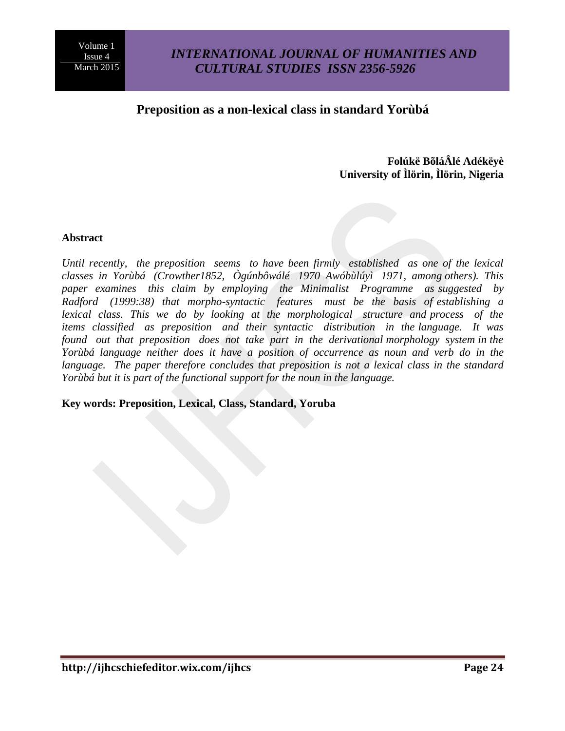## *INTERNATIONAL JOURNAL OF HUMANITIES AND CULTURAL STUDIES ISSN 2356-5926*

## **Preposition as a non-lexical class in standard Yorùbá**

## **Folúkë BõláÂlé Adékëyè University of Ìlörin, Ìlörin, Nigeria**

#### **Abstract**

*Until recently, the preposition seems to have been firmly established as one of the lexical classes in Yorùbá (Crowther1852, Ògúnbôwálé 1970 Awóbùlúyì 1971, among others). This paper examines this claim by employing the Minimalist Programme as suggested by Radford (1999:38) that morpho-syntactic features must be the basis of establishing a*  lexical class. This we do by looking at the morphological structure and process of the *items classified as preposition and their syntactic distribution in the language. It was found out that preposition does not take part in the derivational morphology system in the Yorùbá language neither does it have a position of occurrence as noun and verb do in the*  language. The paper therefore concludes that preposition is not a lexical class in the standard *Yorùbá but it is part of the functional support for the noun in the language.*

**Key words: Preposition, Lexical, Class, Standard, Yoruba**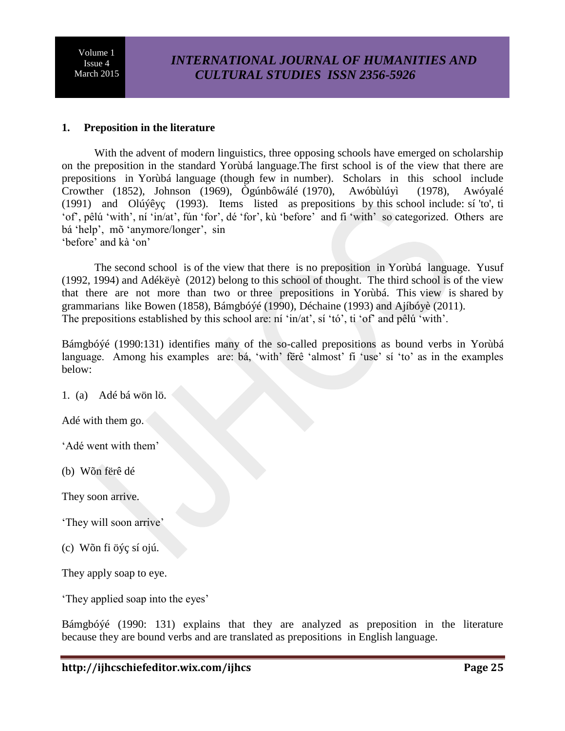# *INTERNATIONAL JOURNAL OF HUMANITIES AND CULTURAL STUDIES ISSN 2356-5926*

#### **1. Preposition in the literature**

With the advent of modern linguistics, three opposing schools have emerged on scholarship on the preposition in the standard Yorùbá language.The first school is of the view that there are prepositions in Yorùbá language (though few in number). Scholars in this school include Crowther (1852), Johnson (1969), Ògúnbôwálé (1970), Awóbùlúyì (1978), Awóyalé (1991) and Olúýêyç (1993). Items listed as prepositions by this school include: sí 'to', ti 'of', pêlú 'with', ní 'in/at', fún 'for', dé 'for', kù 'before' and fi 'with' so categorized. Others are bá 'help', mõ 'anymore/longer', sin 'before' and kà 'on'

The second school is of the view that there is no preposition in Yorùbá language. Yusuf (1992, 1994) and Adékëyè (2012) belong to this school of thought. The third school is of the view that there are not more than two or three prepositions in Yorùbá. This view is shared by grammarians like Bowen (1858), Bámgbóýé (1990), Déchaine (1993) and Ajíbóyè (2011). The prepositions established by this school are: ní 'in/at', sí 'tó', ti 'of' and pêlú 'with'.

Bámgbóýé (1990:131) identifies many of the so-called prepositions as bound verbs in Yorùbá language. Among his examples are: bá, 'with' fërê 'almost' fi 'use' sí 'to' as in the examples below:

1. (a) Adé bá wön lö.

Adé with them go.

'Adé went with them'

(b) Wõn fërê dé

They soon arrive.

'They will soon arrive'

(c) Wõn fi öýç sí ojú.

They apply soap to eye.

'They applied soap into the eyes'

Bámgbóýé (1990: 131) explains that they are analyzed as preposition in the literature because they are bound verbs and are translated as prepositions in English language.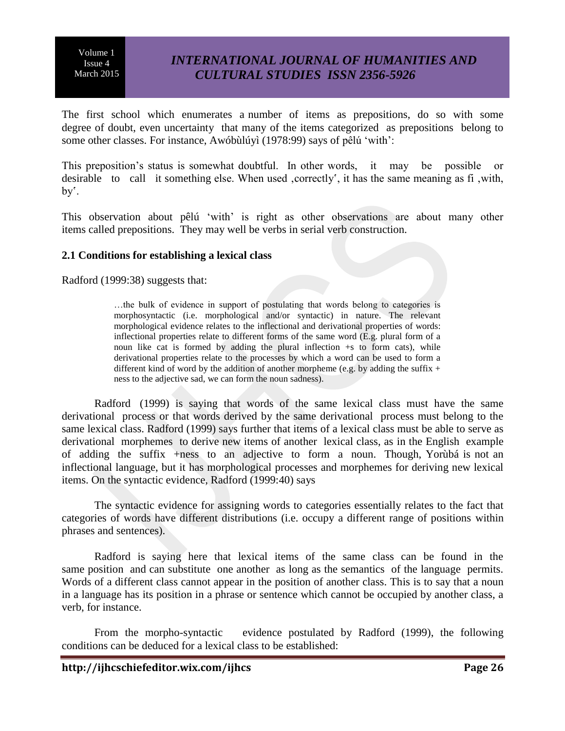# *INTERNATIONAL JOURNAL OF HUMANITIES AND CULTURAL STUDIES ISSN 2356-5926*

The first school which enumerates a number of items as prepositions, do so with some degree of doubt, even uncertainty that many of the items categorized as prepositions belong to some other classes. For instance, Awóbùlúyì (1978:99) says of pêlú 'with':

This preposition's status is somewhat doubtful. In other words, it may be possible or desirable to call it something else. When used correctly', it has the same meaning as fi with, by'.

This observation about pêlú 'with' is right as other observations are about many other items called prepositions. They may well be verbs in serial verb construction.

#### **2.1 Conditions for establishing a lexical class**

Radford (1999:38) suggests that:

…the bulk of evidence in support of postulating that words belong to categories is morphosyntactic (i.e. morphological and/or syntactic) in nature. The relevant morphological evidence relates to the inflectional and derivational properties of words: inflectional properties relate to different forms of the same word (E.g. plural form of a noun like cat is formed by adding the plural inflection +s to form cats), while derivational properties relate to the processes by which a word can be used to form a different kind of word by the addition of another morpheme (e.g. by adding the suffix  $+$ ness to the adjective sad, we can form the noun sadness).

Radford (1999) is saying that words of the same lexical class must have the same derivational process or that words derived by the same derivational process must belong to the same lexical class. Radford (1999) says further that items of a lexical class must be able to serve as derivational morphemes to derive new items of another lexical class, as in the English example of adding the suffix +ness to an adjective to form a noun. Though, Yorùbá is not an inflectional language, but it has morphological processes and morphemes for deriving new lexical items. On the syntactic evidence, Radford (1999:40) says

The syntactic evidence for assigning words to categories essentially relates to the fact that categories of words have different distributions (i.e. occupy a different range of positions within phrases and sentences).

Radford is saying here that lexical items of the same class can be found in the same position and can substitute one another as long as the semantics of the language permits. Words of a different class cannot appear in the position of another class. This is to say that a noun in a language has its position in a phrase or sentence which cannot be occupied by another class, a verb, for instance.

From the morpho-syntactic evidence postulated by Radford (1999), the following conditions can be deduced for a lexical class to be established: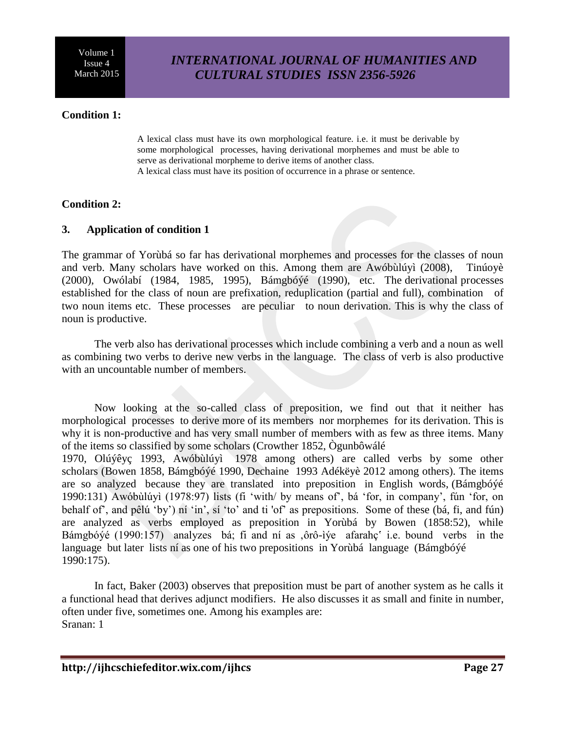# *INTERNATIONAL JOURNAL OF HUMANITIES AND CULTURAL STUDIES ISSN 2356-5926*

## **Condition 1:**

A lexical class must have its own morphological feature. i.e. it must be derivable by some morphological processes, having derivational morphemes and must be able to serve as derivational morpheme to derive items of another class. A lexical class must have its position of occurrence in a phrase or sentence.

### **Condition 2:**

#### **3. Application of condition 1**

The grammar of Yorùbá so far has derivational morphemes and processes for the classes of noun and verb. Many scholars have worked on this. Among them are Awóbùlúyì (2008), Tinúoyè (2000), Owólabí (1984, 1985, 1995), Bámgbóýé (1990), etc. The derivational processes established for the class of noun are prefixation, reduplication (partial and full), combination of two noun items etc. These processes are peculiar to noun derivation. This is why the class of noun is productive.

The verb also has derivational processes which include combining a verb and a noun as well as combining two verbs to derive new verbs in the language. The class of verb is also productive with an uncountable number of members.

Now looking at the so-called class of preposition, we find out that it neither has morphological processes to derive more of its members nor morphemes for its derivation. This is why it is non-productive and has very small number of members with as few as three items. Many of the items so classified by some scholars (Crowther 1852, Ògunbôwálé

1970, Olúýêyç 1993, Awóbùlúyì 1978 among others) are called verbs by some other scholars (Bowen 1858, Bámgbóýé 1990, Dechaine 1993 Adékëyè 2012 among others). The items are so analyzed because they are translated into preposition in English words, (Bámgbóýé 1990:131) Awóbùlúyì (1978:97) lists (fi 'with/ by means of', bá 'for, in company', fún 'for, on behalf of', and pêlú 'by') ní 'in', sí 'to' and ti 'of' as prepositions. Some of these (bá, fi, and fún) are analyzed as verbs employed as preposition in Yorùbá by Bowen (1858:52), while Bámgbóýé (1990:157) analyzes bá; fi and ní as ,ôrô-ìýe afarahç i.e. bound verbs in the language but later lists ní as one of his two prepositions in Yorùbá language (Bámgbóýé 1990:175).

In fact, Baker (2003) observes that preposition must be part of another system as he calls it a functional head that derives adjunct modifiers. He also discusses it as small and finite in number, often under five, sometimes one. Among his examples are: Sranan: 1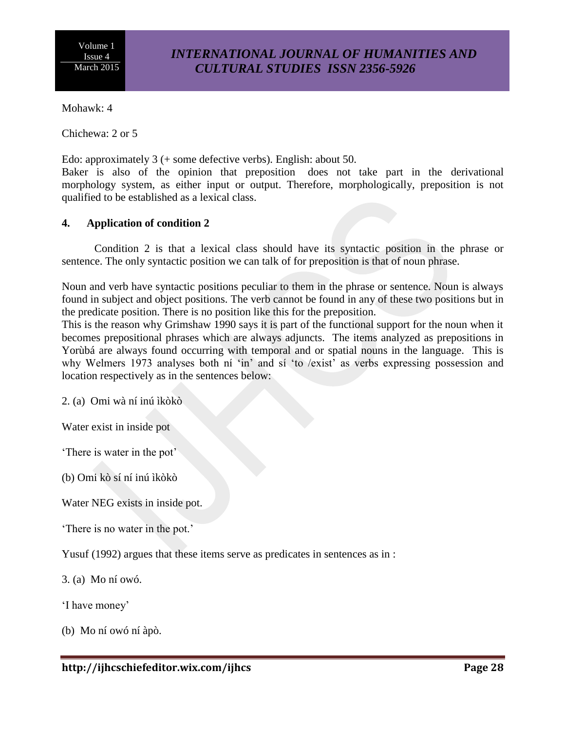## *INTERNATIONAL JOURNAL OF HUMANITIES AND CULTURAL STUDIES ISSN 2356-5926*

Mohawk: 4

Chichewa: 2 or 5

Edo: approximately 3 (+ some defective verbs). English: about 50.

Baker is also of the opinion that preposition does not take part in the derivational morphology system, as either input or output. Therefore, morphologically, preposition is not qualified to be established as a lexical class.

## **4. Application of condition 2**

Condition 2 is that a lexical class should have its syntactic position in the phrase or sentence. The only syntactic position we can talk of for preposition is that of noun phrase.

Noun and verb have syntactic positions peculiar to them in the phrase or sentence. Noun is always found in subject and object positions. The verb cannot be found in any of these two positions but in the predicate position. There is no position like this for the preposition.

This is the reason why Grimshaw 1990 says it is part of the functional support for the noun when it becomes prepositional phrases which are always adjuncts. The items analyzed as prepositions in Yorùbá are always found occurring with temporal and or spatial nouns in the language. This is why Welmers 1973 analyses both ní 'in' and sí 'to /exist' as verbs expressing possession and location respectively as in the sentences below:

2. (a) Omi wà ní inú ìkòkò

Water exist in inside pot

'There is water in the pot'

(b) Omi kò sí ní inú ìkòkò

Water NEG exists in inside pot.

'There is no water in the pot.'

Yusuf (1992) argues that these items serve as predicates in sentences as in :

3. (a) Mo ní owó.

'I have money'

(b) Mo ní owó ní àpò.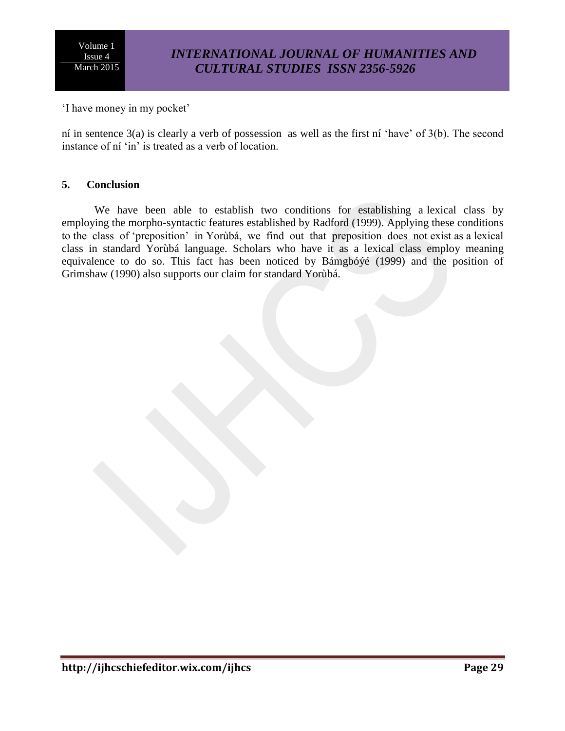# *INTERNATIONAL JOURNAL OF HUMANITIES AND CULTURAL STUDIES ISSN 2356-5926*

'I have money in my pocket'

ní in sentence 3(a) is clearly a verb of possession as well as the first ní 'have' of 3(b). The second instance of ní 'in' is treated as a verb of location.

#### **5. Conclusion**

We have been able to establish two conditions for establishing a lexical class by employing the morpho-syntactic features established by Radford (1999). Applying these conditions to the class of 'preposition' in Yorùbá, we find out that preposition does not exist as a lexical class in standard Yorùbá language. Scholars who have it as a lexical class employ meaning equivalence to do so. This fact has been noticed by Bámgbóýé (1999) and the position of Grimshaw (1990) also supports our claim for standard Yorùbá.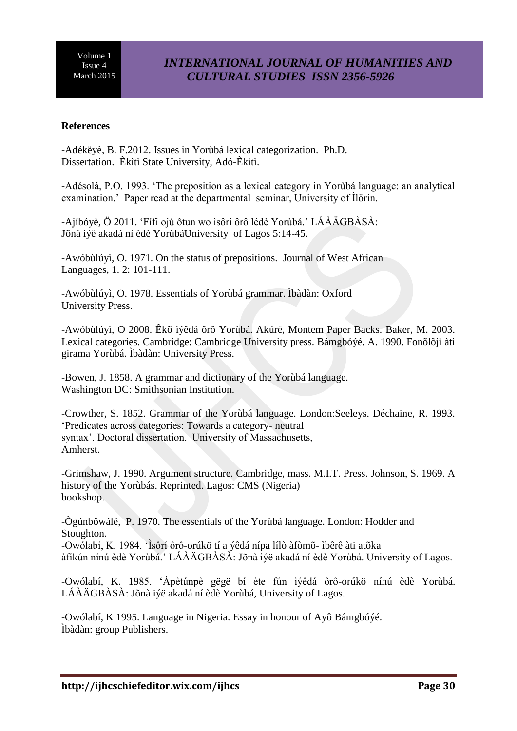## **References**

-Adékëyè, B. F.2012. Issues in Yorùbá lexical categorization. Ph.D. Dissertation. Èkìtì State University, Adó-Èkìtì.

-Adésolá, P.O. 1993. 'The preposition as a lexical category in Yorùbá language: an analytical examination.' Paper read at the departmental seminar, University of Ìlörin.

-Ajíbóyè, Ö 2011. 'Fífi ojú ôtun wo ìsôrí ôrô lédè Yorùbá.' LÁÀÄGBÀSÀ: Jõnà iýë akadá ní èdè YorùbáUniversity of Lagos 5:14-45.

-Awóbùlúyì, O. 1971. On the status of prepositions. Journal of West African Languages, 1. 2: 101-111.

-Awóbùlúyì, O. 1978. Essentials of Yorùbá grammar. Ìbàdàn: Oxford University Press.

-Awóbùlúyì, O 2008. Êkõ ìýêdá ôrô Yorùbá. Akúrë, Montem Paper Backs. Baker, M. 2003. Lexical categories. Cambridge: Cambridge University press. Bámgbóýé, A. 1990. Fonõlõjì àti girama Yorùbá. Ìbàdàn: University Press.

-Bowen, J. 1858. A grammar and dictionary of the Yorùbá language. Washington DC: Smithsonian Institution.

-Crowther, S. 1852. Grammar of the Yorùbá language. London:Seeleys. Déchaine, R. 1993. 'Predicates across categories: Towards a category- neutral syntax'. Doctoral dissertation. University of Massachusetts, Amherst.

-Grimshaw, J. 1990. Argument structure. Cambridge, mass. M.I.T. Press. Johnson, S. 1969. A history of the Yorùbás. Reprinted. Lagos: CMS (Nigeria) bookshop.

-Ògúnbôwálé, P. 1970. The essentials of the Yorùbá language. London: Hodder and Stoughton. -Owólabí, K. 1984. 'Ìsôrí ôrô-orúkö tí a ýêdá nípa lílò àfòmõ- ìbêrê àti atõka àfikún nínú èdè Yorùbá.' LÁÀÄGBÀSÀ: Jõnà iýë akadá ní èdè Yorùbá. University of Lagos.

-Owólabí, K. 1985. 'Àpètúnpè gëgë bí ète fún ìýêdá ôrô-orúkö nínú èdè Yorùbá. LÁÀÄGBÀSÀ: Jõnà iýë akadá ní èdè Yorùbá, University of Lagos.

-Owólabí, K 1995. Language in Nigeria. Essay in honour of Ayô Bámgbóýé. Ìbàdàn: group Publishers.